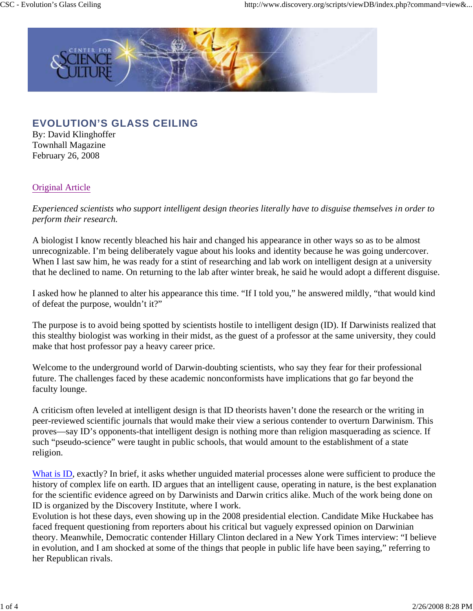

## **EVOLUTION'S GLASS CEILING**

By: David Klinghoffer Townhall Magazine February 26, 2008

## Original Article

*Experienced scientists who support intelligent design theories literally have to disguise themselves in order to perform their research.*

A biologist I know recently bleached his hair and changed his appearance in other ways so as to be almost unrecognizable. I'm being deliberately vague about his looks and identity because he was going undercover. When I last saw him, he was ready for a stint of researching and lab work on intelligent design at a university that he declined to name. On returning to the lab after winter break, he said he would adopt a different disguise.

I asked how he planned to alter his appearance this time. "If I told you," he answered mildly, "that would kind of defeat the purpose, wouldn't it?"

The purpose is to avoid being spotted by scientists hostile to intelligent design (ID). If Darwinists realized that this stealthy biologist was working in their midst, as the guest of a professor at the same university, they could make that host professor pay a heavy career price.

Welcome to the underground world of Darwin-doubting scientists, who say they fear for their professional future. The challenges faced by these academic nonconformists have implications that go far beyond the faculty lounge.

A criticism often leveled at intelligent design is that ID theorists haven't done the research or the writing in peer-reviewed scientific journals that would make their view a serious contender to overturn Darwinism. This proves—say ID's opponents-that intelligent design is nothing more than religion masquerading as science. If such "pseudo-science" were taught in public schools, that would amount to the establishment of a state religion.

What is ID, exactly? In brief, it asks whether unguided material processes alone were sufficient to produce the history of complex life on earth. ID argues that an intelligent cause, operating in nature, is the best explanation for the scientific evidence agreed on by Darwinists and Darwin critics alike. Much of the work being done on ID is organized by the Discovery Institute, where I work.

Evolution is hot these days, even showing up in the 2008 presidential election. Candidate Mike Huckabee has faced frequent questioning from reporters about his critical but vaguely expressed opinion on Darwinian theory. Meanwhile, Democratic contender Hillary Clinton declared in a New York Times interview: "I believe in evolution, and I am shocked at some of the things that people in public life have been saying," referring to her Republican rivals.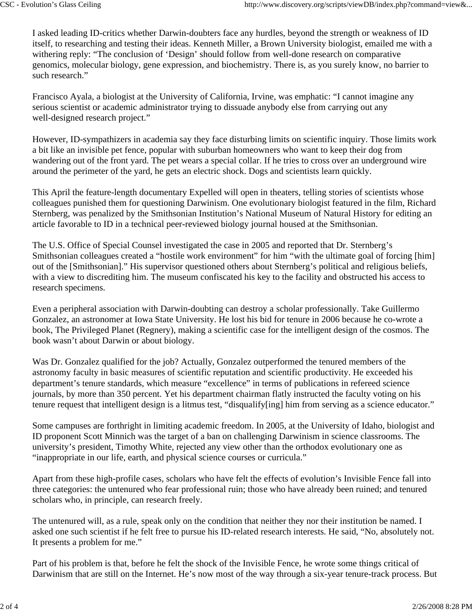I asked leading ID-critics whether Darwin-doubters face any hurdles, beyond the strength or weakness of ID itself, to researching and testing their ideas. Kenneth Miller, a Brown University biologist, emailed me with a withering reply: "The conclusion of 'Design' should follow from well-done research on comparative genomics, molecular biology, gene expression, and biochemistry. There is, as you surely know, no barrier to such research."

Francisco Ayala, a biologist at the University of California, Irvine, was emphatic: "I cannot imagine any serious scientist or academic administrator trying to dissuade anybody else from carrying out any well-designed research project."

However, ID-sympathizers in academia say they face disturbing limits on scientific inquiry. Those limits work a bit like an invisible pet fence, popular with suburban homeowners who want to keep their dog from wandering out of the front yard. The pet wears a special collar. If he tries to cross over an underground wire around the perimeter of the yard, he gets an electric shock. Dogs and scientists learn quickly.

This April the feature-length documentary Expelled will open in theaters, telling stories of scientists whose colleagues punished them for questioning Darwinism. One evolutionary biologist featured in the film, Richard Sternberg, was penalized by the Smithsonian Institution's National Museum of Natural History for editing an article favorable to ID in a technical peer-reviewed biology journal housed at the Smithsonian.

The U.S. Office of Special Counsel investigated the case in 2005 and reported that Dr. Sternberg's Smithsonian colleagues created a "hostile work environment" for him "with the ultimate goal of forcing [him] out of the [Smithsonian]." His supervisor questioned others about Sternberg's political and religious beliefs, with a view to discrediting him. The museum confiscated his key to the facility and obstructed his access to research specimens.

Even a peripheral association with Darwin-doubting can destroy a scholar professionally. Take Guillermo Gonzalez, an astronomer at Iowa State University. He lost his bid for tenure in 2006 because he co-wrote a book, The Privileged Planet (Regnery), making a scientific case for the intelligent design of the cosmos. The book wasn't about Darwin or about biology.

Was Dr. Gonzalez qualified for the job? Actually, Gonzalez outperformed the tenured members of the astronomy faculty in basic measures of scientific reputation and scientific productivity. He exceeded his department's tenure standards, which measure "excellence" in terms of publications in refereed science journals, by more than 350 percent. Yet his department chairman flatly instructed the faculty voting on his tenure request that intelligent design is a litmus test, "disqualify[ing] him from serving as a science educator."

Some campuses are forthright in limiting academic freedom. In 2005, at the University of Idaho, biologist and ID proponent Scott Minnich was the target of a ban on challenging Darwinism in science classrooms. The university's president, Timothy White, rejected any view other than the orthodox evolutionary one as "inappropriate in our life, earth, and physical science courses or curricula."

Apart from these high-profile cases, scholars who have felt the effects of evolution's Invisible Fence fall into three categories: the untenured who fear professional ruin; those who have already been ruined; and tenured scholars who, in principle, can research freely.

The untenured will, as a rule, speak only on the condition that neither they nor their institution be named. I asked one such scientist if he felt free to pursue his ID-related research interests. He said, "No, absolutely not. It presents a problem for me."

Part of his problem is that, before he felt the shock of the Invisible Fence, he wrote some things critical of Darwinism that are still on the Internet. He's now most of the way through a six-year tenure-track process. But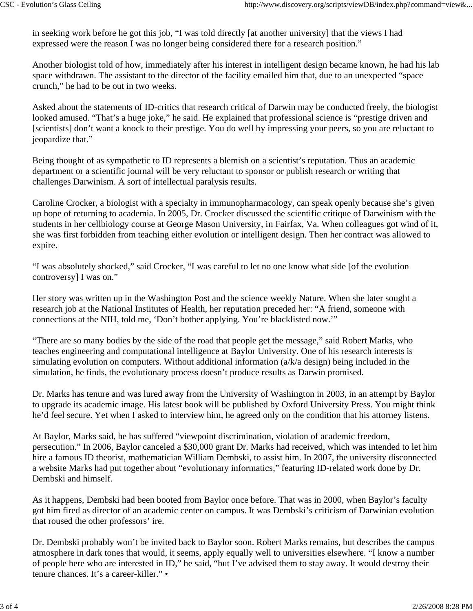in seeking work before he got this job, "I was told directly [at another university] that the views I had expressed were the reason I was no longer being considered there for a research position."

Another biologist told of how, immediately after his interest in intelligent design became known, he had his lab space withdrawn. The assistant to the director of the facility emailed him that, due to an unexpected "space crunch," he had to be out in two weeks.

Asked about the statements of ID-critics that research critical of Darwin may be conducted freely, the biologist looked amused. "That's a huge joke," he said. He explained that professional science is "prestige driven and [scientists] don't want a knock to their prestige. You do well by impressing your peers, so you are reluctant to jeopardize that."

Being thought of as sympathetic to ID represents a blemish on a scientist's reputation. Thus an academic department or a scientific journal will be very reluctant to sponsor or publish research or writing that challenges Darwinism. A sort of intellectual paralysis results.

Caroline Crocker, a biologist with a specialty in immunopharmacology, can speak openly because she's given up hope of returning to academia. In 2005, Dr. Crocker discussed the scientific critique of Darwinism with the students in her cellbiology course at George Mason University, in Fairfax, Va. When colleagues got wind of it, she was first forbidden from teaching either evolution or intelligent design. Then her contract was allowed to expire.

"I was absolutely shocked," said Crocker, "I was careful to let no one know what side [of the evolution controversy] I was on."

Her story was written up in the Washington Post and the science weekly Nature. When she later sought a research job at the National Institutes of Health, her reputation preceded her: "A friend, someone with connections at the NIH, told me, 'Don't bother applying. You're blacklisted now.'"

"There are so many bodies by the side of the road that people get the message," said Robert Marks, who teaches engineering and computational intelligence at Baylor University. One of his research interests is simulating evolution on computers. Without additional information (a/k/a design) being included in the simulation, he finds, the evolutionary process doesn't produce results as Darwin promised.

Dr. Marks has tenure and was lured away from the University of Washington in 2003, in an attempt by Baylor to upgrade its academic image. His latest book will be published by Oxford University Press. You might think he'd feel secure. Yet when I asked to interview him, he agreed only on the condition that his attorney listens.

At Baylor, Marks said, he has suffered "viewpoint discrimination, violation of academic freedom, persecution." In 2006, Baylor canceled a \$30,000 grant Dr. Marks had received, which was intended to let him hire a famous ID theorist, mathematician William Dembski, to assist him. In 2007, the university disconnected a website Marks had put together about "evolutionary informatics," featuring ID-related work done by Dr. Dembski and himself.

As it happens, Dembski had been booted from Baylor once before. That was in 2000, when Baylor's faculty got him fired as director of an academic center on campus. It was Dembski's criticism of Darwinian evolution that roused the other professors' ire.

Dr. Dembski probably won't be invited back to Baylor soon. Robert Marks remains, but describes the campus atmosphere in dark tones that would, it seems, apply equally well to universities elsewhere. "I know a number of people here who are interested in ID," he said, "but I've advised them to stay away. It would destroy their tenure chances. It's a career-killer." •